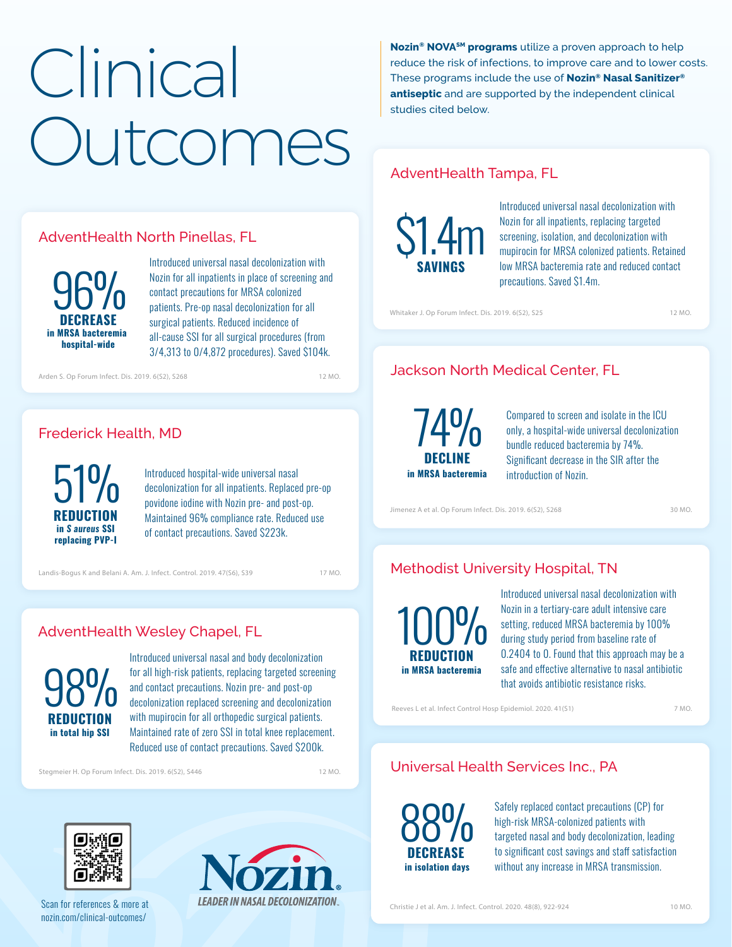# **Clinical** Outcomes

#### AdventHealth North Pinellas, FL



Introduced universal nasal decolonization with Nozin for all inpatients in place of screening and contact precautions for MRSA colonized patients. Pre-op nasal decolonization for all surgical patients. Reduced incidence of all-cause SSI for all surgical procedures (from [3/4,313 to 0/4,872 procedures\). Saved \\$104k.](https://academic.oup.com/ofid/article/6/Supplement_2/S268/5603884) 

Arden S. Op Forum Infect. Dis. 2019. 6(S2), S268 12 MO.

#### Frederick Health, MD

**REDUCTION**  $51\%$ **in** *S aureus* **SSI replacing PVP-I**

Introduced hospital-wide universal nasal decolonization for all inpatients. Replaced pre-op povidone iodine with Nozin pre- and post-op. Maintained 96% compliance rate. Reduced use of contact precautions. Saved \$223k.

17 MO.

# AdventHealth Wesley Chapel, FL



Introduced universal nasal and body decolonization for all high-risk patients, replacing targeted screening and contact precautions. Nozin pre- and post-op decolonization replaced screening and decolonization with mupirocin for all orthopedic surgical patients. Maintained rate of zero SSI in total knee replacement. [Reduced use of contact precautions. Saved \\$200k.](https://academic.oup.com/ofid/article/6/Supplement_2/S446/5605071) 

Stegmeier H. Op Forum Infect. Dis. 2019. 6(S2), S446

12 MO.



[Scan for references & more at](https://www.nozin.com/clinical-outcomes/) nozin.com/clinical-outcomes/



**Nozin® NOVASM programs** utilize a proven approach to help reduce the risk of infections, to improve care and to lower costs. These programs include the use of **Nozin® Nasal Sanitizer® antiseptic** and are supported by the independent clinical studies cited below.

# AdventHealth Tampa, FL



Introduced universal nasal decolonization with Nozin for all inpatients, replacing targeted screening, isolation, and decolonization with mupirocin for MRSA colonized patients. Retained low MRSA bacteremia rate and reduced contact precautions. Saved \$1.4m.

[Whitaker J. Op Forum Infect. Dis. 2019. 6\(S2\), S25](https://academic.oup.com/ofid/article/6/Supplement_2/S25/5604021)

# Jackson North Medical Center, FL

**DECLINE in MRSA bacteremia** 74%

Compared to screen and isolate in the ICU only, a hospital-wide universal decolonization bundle reduced bacteremia by 74%. Significant decrease in the SIR after the introduction of Nozin.

[Jimenez A et al. Op Forum Infect. Dis. 2019. 6\(S2\), S268](https://academic.oup.com/ofid/article/6/Supplement_2/S268/5603846)

30 MO.

12 MO.

# [Landis-Bogus K and Belani A. Am. J. Infect. Control. 2019. 47\(S6\), S39](https://www.ajicjournal.org/article/S0196-6553(19)30319-0/pdf) 17 Mo. Methodist University Hospital, TN

**REDUCTION** 100% **in MRSA bacteremia**

Introduced universal nasal decolonization with Nozin in a tertiary-care adult intensive care setting, reduced MRSA bacteremia by 100% during study period from baseline rate of 0.2404 to 0. Found that this approach may be a safe and effective alternative to nasal antibiotic [that avoids antibiotic resistance risks.](https://www.cambridge.org/core/journals/infection-control-and-hospital-epidemiology/article/effectiveness-of-an-alcoholbased-nasal-antiseptic-in-reducing-mrsa-bacteremia-in-an-adult-intensive-care-population/5F111004A1656AD8A99FB448DB1FD812)

Reeves L et al. Infect Control Hosp Epidemiol. 2020. 41(S1)

7 MO.

#### Universal Health Services Inc., PA

**DECREASE** 88%  **in isolation days**

Safely replaced contact precautions (CP) for high-risk MRSA-colonized patients with targeted nasal and body decolonization, leading to significant cost savings and staff satisfaction without any increase in MRSA transmission.

[Christie J et al. Am. J. Infect. Control. 2020. 48\(8\), 922-924](https://www.ajicjournal.org/article/S0196-6553(19)31058-2/fulltext)